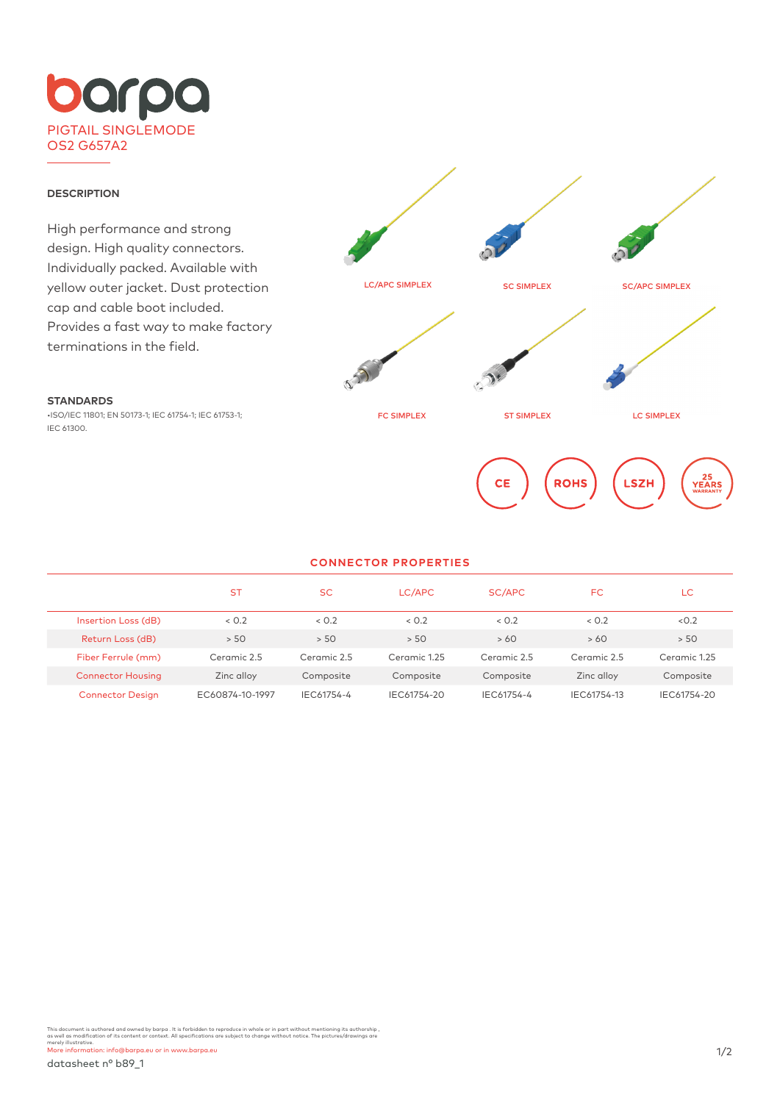

## **DESCRIPTION**

**STANDARDS**

IEC 61300.

High performance and strong design. High quality connectors. Individually packed. Available with yellow outer jacket. Dust protection cap and cable boot included. Provides a fast way to make factory terminations in the field.

•ISO/IEC 11801; EN 50173-1; IEC 61754-1; IEC 61753-1;



## **CONNECTOR PROPERTIES**

|                          | <b>ST</b>       | <b>SC</b>   | LC/APC       | SC/APC      | <b>FC</b>   | LC           |
|--------------------------|-----------------|-------------|--------------|-------------|-------------|--------------|
| Insertion Loss (dB)      | < 0.2           | < 0.2       | < 0.2        | < 0.2       | < 0.2       | < 0.2        |
| Return Loss (dB)         | > 50            | > 50        | > 50         | >60         | >60         | > 50         |
| Fiber Ferrule (mm)       | Ceramic 2.5     | Ceramic 2.5 | Ceramic 1.25 | Ceramic 2.5 | Ceramic 2.5 | Ceramic 1.25 |
| <b>Connector Housing</b> | Zinc alloy      | Composite   | Composite    | Composite   | Zinc alloy  | Composite    |
| <b>Connector Design</b>  | EC60874-10-1997 | IEC61754-4  | IEC61754-20  | IEC61754-4  | IEC61754-13 | IEC61754-20  |

This document is authored and owned by barpa . It is forbidden to reproduce in whole or in part without mentioning its authorship ,<br>as well as modification of its content or context. All specifications are subject to chang